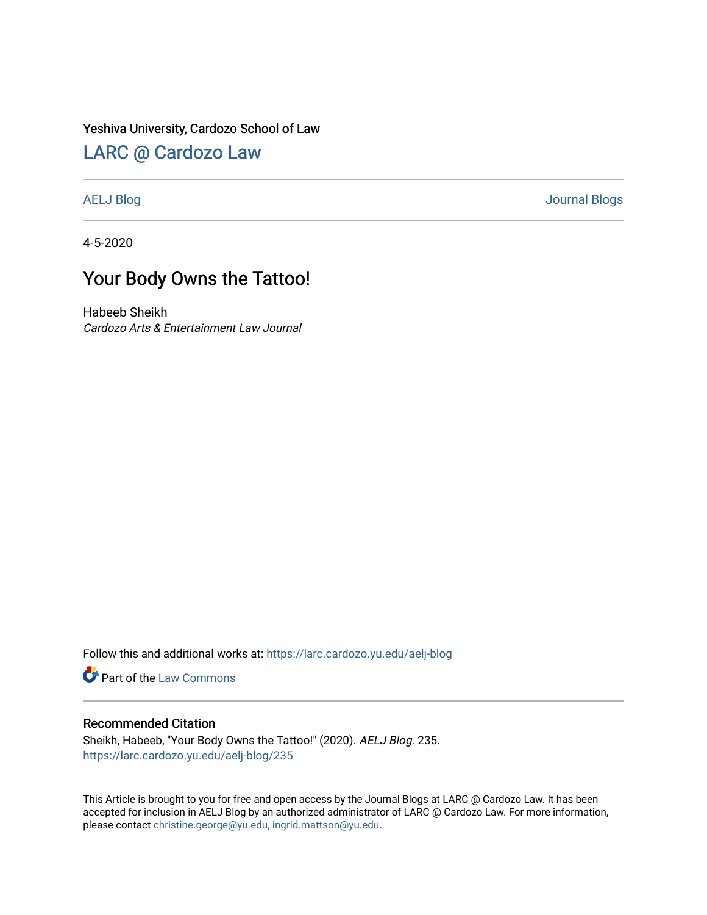### Yeshiva University, Cardozo School of Law

## [LARC @ Cardozo Law](https://larc.cardozo.yu.edu/)

[AELJ Blog](https://larc.cardozo.yu.edu/aelj-blog) [Journal Blogs](https://larc.cardozo.yu.edu/journal-blogs) 

4-5-2020

# Your Body Owns the Tattoo!

Habeeb Sheikh Cardozo Arts & Entertainment Law Journal

Follow this and additional works at: [https://larc.cardozo.yu.edu/aelj-blog](https://larc.cardozo.yu.edu/aelj-blog?utm_source=larc.cardozo.yu.edu%2Faelj-blog%2F235&utm_medium=PDF&utm_campaign=PDFCoverPages) 

Part of the [Law Commons](http://network.bepress.com/hgg/discipline/578?utm_source=larc.cardozo.yu.edu%2Faelj-blog%2F235&utm_medium=PDF&utm_campaign=PDFCoverPages)

#### Recommended Citation

Sheikh, Habeeb, "Your Body Owns the Tattoo!" (2020). AELJ Blog. 235. [https://larc.cardozo.yu.edu/aelj-blog/235](https://larc.cardozo.yu.edu/aelj-blog/235?utm_source=larc.cardozo.yu.edu%2Faelj-blog%2F235&utm_medium=PDF&utm_campaign=PDFCoverPages) 

This Article is brought to you for free and open access by the Journal Blogs at LARC @ Cardozo Law. It has been accepted for inclusion in AELJ Blog by an authorized administrator of LARC @ Cardozo Law. For more information, please contact [christine.george@yu.edu, ingrid.mattson@yu.edu.](mailto:christine.george@yu.edu,%20ingrid.mattson@yu.edu)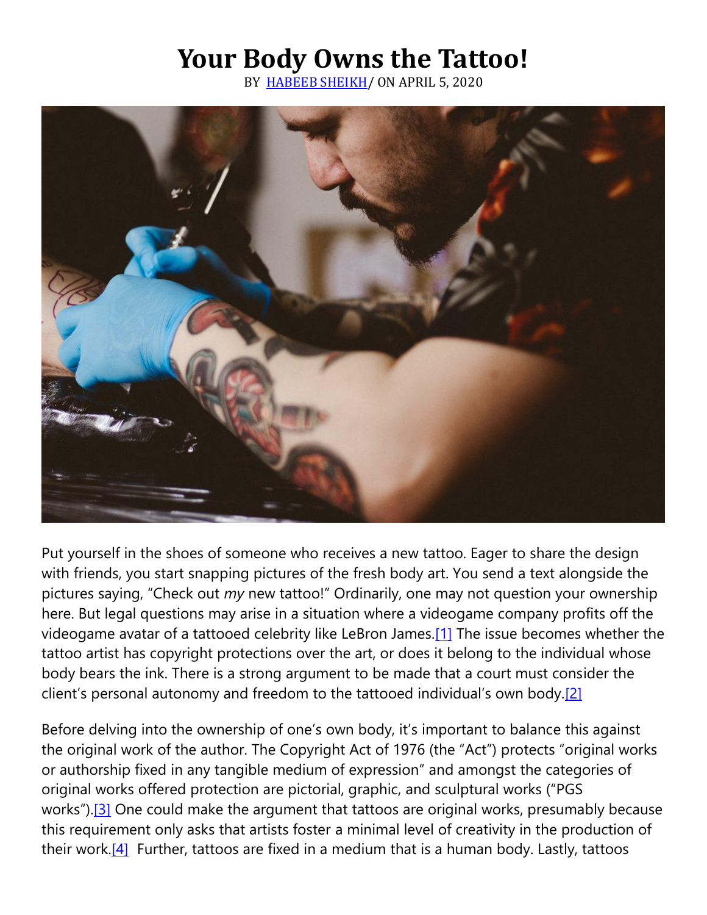# **Your Body Owns the Tattoo!**

BY [HABEEB SHEIKH/](https://cardozoaelj.com/author/habeeb-sheikh/) ON APRIL 5, 2020



Put yourself in the shoes of someone who receives a new tattoo. Eager to share the design with friends, you start snapping pictures of the fresh body art. You send a text alongside the pictures saying, "Check out *my* new tattoo!" Ordinarily, one may not question your ownership here. But legal questions may arise in a situation where a videogame company profits off the videogame avatar of a tattooed celebrity like LeBron James[.\[1\]](https://cardozoaelj.com/2020/04/05/your-body-owns-the-tattoo/#_ftn1) The issue becomes whether the tattoo artist has copyright protections over the art, or does it belong to the individual whose body bears the ink. There is a strong argument to be made that a court must consider the client's personal autonomy and freedom to the tattooed individual's own body.[\[2\]](https://cardozoaelj.com/2020/04/05/your-body-owns-the-tattoo/#_ftn2)

Before delving into the ownership of one's own body, it's important to balance this against the original work of the author. The Copyright Act of 1976 (the "Act") protects "original works or authorship fixed in any tangible medium of expression" and amongst the categories of original works offered protection are pictorial, graphic, and sculptural works ("PGS works").<sup>[\[3\]](https://cardozoaelj.com/2020/04/05/your-body-owns-the-tattoo/#_ftn3)</sup> One could make the argument that tattoos are original works, presumably because this requirement only asks that artists foster a minimal level of creativity in the production of their work.<sup>[4]</sup> Further, tattoos are fixed in a medium that is a human body. Lastly, tattoos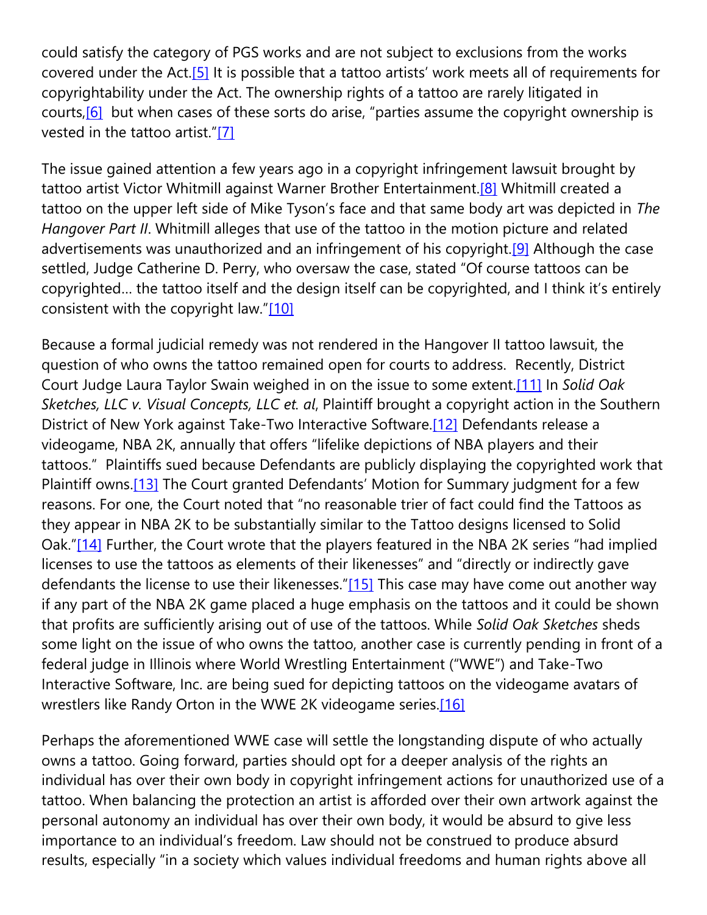could satisfy the category of PGS works and are not subject to exclusions from the works covered under the Act[.\[5\]](https://cardozoaelj.com/2020/04/05/your-body-owns-the-tattoo/#_ftn5) It is possible that a tattoo artists' work meets all of requirements for copyrightability under the Act. The ownership rights of a tattoo are rarely litigated in courts, $[6]$  but when cases of these sorts do arise, "parties assume the copyright ownership is vested in the tattoo artist."[\[7\]](https://cardozoaelj.com/2020/04/05/your-body-owns-the-tattoo/#_ftn7) 

The issue gained attention a few years ago in a copyright infringement lawsuit brought by tattoo artist Victor Whitmill against Warner Brother Entertainment.<sup>[8]</sup> Whitmill created a tattoo on the upper left side of Mike Tyson's face and that same body art was depicted in *The Hangover Part II*. Whitmill alleges that use of the tattoo in the motion picture and related advertisements was unauthorized and an infringement of his copyright.<sup>[9]</sup> Although the case settled, Judge Catherine D. Perry, who oversaw the case, stated "Of course tattoos can be copyrighted… the tattoo itself and the design itself can be copyrighted, and I think it's entirely consistent with the copyright law."[\[10\]](https://cardozoaelj.com/2020/04/05/your-body-owns-the-tattoo/#_ftn10)

Because a formal judicial remedy was not rendered in the Hangover II tattoo lawsuit, the question of who owns the tattoo remained open for courts to address. Recently, District Court Judge Laura Taylor Swain weighed in on the issue to some extent[.\[11\]](https://cardozoaelj.com/2020/04/05/your-body-owns-the-tattoo/#_ftn11) In *Solid Oak Sketches, LLC v. Visual Concepts, LLC et. al*, Plaintiff brought a copyright action in the Southern District of New York against Take-Two Interactive Software[.\[12\]](https://cardozoaelj.com/2020/04/05/your-body-owns-the-tattoo/#_ftn12) Defendants release a videogame, NBA 2K, annually that offers "lifelike depictions of NBA players and their tattoos." Plaintiffs sued because Defendants are publicly displaying the copyrighted work that Plaintiff owns[.\[13\]](https://cardozoaelj.com/2020/04/05/your-body-owns-the-tattoo/#_ftn13) The Court granted Defendants' Motion for Summary judgment for a few reasons. For one, the Court noted that "no reasonable trier of fact could find the Tattoos as they appear in NBA 2K to be substantially similar to the Tattoo designs licensed to Solid Oak."[\[14\]](https://cardozoaelj.com/2020/04/05/your-body-owns-the-tattoo/#_ftn14) Further, the Court wrote that the players featured in the NBA 2K series "had implied licenses to use the tattoos as elements of their likenesses" and "directly or indirectly gave defendants the license to use their likenesses."[\[15\]](https://cardozoaelj.com/2020/04/05/your-body-owns-the-tattoo/#_ftn15) This case may have come out another way if any part of the NBA 2K game placed a huge emphasis on the tattoos and it could be shown that profits are sufficiently arising out of use of the tattoos. While *Solid Oak Sketches* sheds some light on the issue of who owns the tattoo, another case is currently pending in front of a federal judge in Illinois where World Wrestling Entertainment ("WWE") and Take-Two Interactive Software, Inc. are being sued for depicting tattoos on the videogame avatars of wrestlers like Randy Orton in the WWE 2K videogame series.[16]

Perhaps the aforementioned WWE case will settle the longstanding dispute of who actually owns a tattoo. Going forward, parties should opt for a deeper analysis of the rights an individual has over their own body in copyright infringement actions for unauthorized use of a tattoo. When balancing the protection an artist is afforded over their own artwork against the personal autonomy an individual has over their own body, it would be absurd to give less importance to an individual's freedom. Law should not be construed to produce absurd results, especially "in a society which values individual freedoms and human rights above all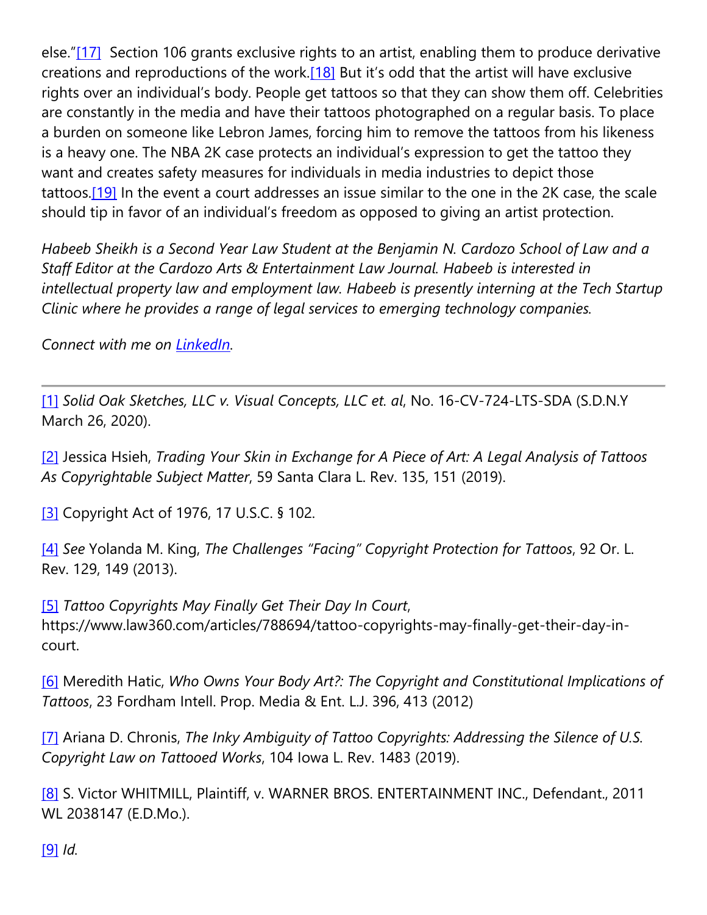else."[\[17\]](https://cardozoaelj.com/2020/04/05/your-body-owns-the-tattoo/#_ftn17) Section 106 grants exclusive rights to an artist, enabling them to produce derivative creations and reproductions of the work.<sup>[18]</sup> But it's odd that the artist will have exclusive rights over an individual's body. People get tattoos so that they can show them off. Celebrities are constantly in the media and have their tattoos photographed on a regular basis. To place a burden on someone like Lebron James, forcing him to remove the tattoos from his likeness is a heavy one. The NBA 2K case protects an individual's expression to get the tattoo they want and creates safety measures for individuals in media industries to depict those tattoos[.\[19\]](https://cardozoaelj.com/2020/04/05/your-body-owns-the-tattoo/#_ftn19) In the event a court addresses an issue similar to the one in the 2K case, the scale should tip in favor of an individual's freedom as opposed to giving an artist protection.

*Habeeb Sheikh is a Second Year Law Student at the Benjamin N. Cardozo School of Law and a Staff Editor at the Cardozo Arts & Entertainment Law Journal. Habeeb is interested in intellectual property law and employment law. Habeeb is presently interning at the Tech Startup Clinic where he provides a range of legal services to emerging technology companies.*

*Connect with me on [LinkedIn.](https://www.linkedin.com/in/habeeb-sheikh)*

[\[1\]](https://cardozoaelj.com/2020/04/05/your-body-owns-the-tattoo/#_ftnref1) *Solid Oak Sketches, LLC v. Visual Concepts, LLC et. al*, No. 16-CV-724-LTS-SDA (S.D.N.Y March 26, 2020).

[\[2\]](https://cardozoaelj.com/2020/04/05/your-body-owns-the-tattoo/#_ftnref2) Jessica Hsieh, *Trading Your Skin in Exchange for A Piece of Art: A Legal Analysis of Tattoos As Copyrightable Subject Matter*, 59 Santa Clara L. Rev. 135, 151 (2019).

[\[3\]](https://cardozoaelj.com/2020/04/05/your-body-owns-the-tattoo/#_ftnref3) Copyright Act of 1976, 17 U.S.C. § 102.

[\[4\]](https://cardozoaelj.com/2020/04/05/your-body-owns-the-tattoo/#_ftnref4) *See* Yolanda M. King, *The Challenges "Facing" Copyright Protection for Tattoos*, 92 Or. L. Rev. 129, 149 (2013).

[\[5\]](https://cardozoaelj.com/2020/04/05/your-body-owns-the-tattoo/#_ftnref5) *Tattoo Copyrights May Finally Get Their Day In Court*, https://www.law360.com/articles/788694/tattoo-copyrights-may-finally-get-their-day-incourt.

[\[6\]](https://cardozoaelj.com/2020/04/05/your-body-owns-the-tattoo/#_ftnref6) Meredith Hatic, *Who Owns Your Body Art?: The Copyright and Constitutional Implications of Tattoos*, 23 Fordham Intell. Prop. Media & Ent. L.J. 396, 413 (2012)

[\[7\]](https://cardozoaelj.com/2020/04/05/your-body-owns-the-tattoo/#_ftnref7) Ariana D. Chronis, *The Inky Ambiguity of Tattoo Copyrights: Addressing the Silence of U.S. Copyright Law on Tattooed Works*, 104 Iowa L. Rev. 1483 (2019).

[\[8\]](https://cardozoaelj.com/2020/04/05/your-body-owns-the-tattoo/#_ftnref8) S. Victor WHITMILL, Plaintiff, v. WARNER BROS. ENTERTAINMENT INC., Defendant., 2011 WL 2038147 (E.D.Mo.).

[\[9\]](https://cardozoaelj.com/2020/04/05/your-body-owns-the-tattoo/#_ftnref9) *Id.*